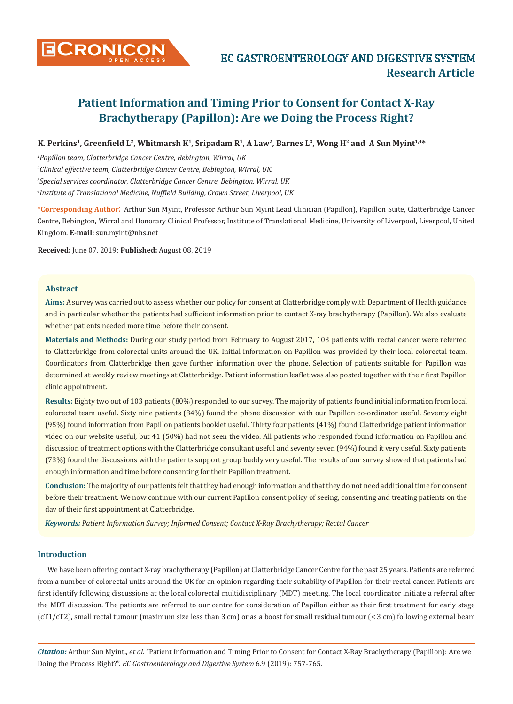

# **K. Perkins1, Greenfield L2, Whitmarsh K1, Sripadam R1, A Law<sup>2</sup>, Barnes L3, Wong H2 and A Sun Myint1,4\***

 *Papillon team, Clatterbridge Cancer Centre, Bebington, Wirral, UK Clinical effective team, Clatterbridge Cancer Centre, Bebington, Wirral, UK. Special services coordinator, Clatterbridge Cancer Centre, Bebington, Wirral, UK Institute of Translational Medicine, Nuffield Building, Crown Street, Liverpool, UK*

**\*Corresponding Author**: Arthur Sun Myint, Professor Arthur Sun Myint Lead Clinician (Papillon), Papillon Suite, Clatterbridge Cancer Centre, Bebington, Wirral and Honorary Clinical Professor, Institute of Translational Medicine, University of Liverpool, Liverpool, United Kingdom. **E-mail:** sun.myint@nhs.net

**Received:** June 07, 2019; **Published:** August 08, 2019

## **Abstract**

**Aims:** A survey was carried out to assess whether our policy for consent at Clatterbridge comply with Department of Health guidance and in particular whether the patients had sufficient information prior to contact X-ray brachytherapy (Papillon). We also evaluate whether patients needed more time before their consent.

**Materials and Methods:** During our study period from February to August 2017, 103 patients with rectal cancer were referred to Clatterbridge from colorectal units around the UK. Initial information on Papillon was provided by their local colorectal team. Coordinators from Clatterbridge then gave further information over the phone. Selection of patients suitable for Papillon was determined at weekly review meetings at Clatterbridge. Patient information leaflet was also posted together with their first Papillon clinic appointment.

**Results:** Eighty two out of 103 patients (80%) responded to our survey. The majority of patients found initial information from local colorectal team useful. Sixty nine patients (84%) found the phone discussion with our Papillon co-ordinator useful. Seventy eight (95%) found information from Papillon patients booklet useful. Thirty four patients (41%) found Clatterbridge patient information video on our website useful, but 41 (50%) had not seen the video. All patients who responded found information on Papillon and discussion of treatment options with the Clatterbridge consultant useful and seventy seven (94%) found it very useful. Sixty patients (73%) found the discussions with the patients support group buddy very useful. The results of our survey showed that patients had enough information and time before consenting for their Papillon treatment.

**Conclusion:** The majority of our patients felt that they had enough information and that they do not need additional time for consent before their treatment. We now continue with our current Papillon consent policy of seeing, consenting and treating patients on the day of their first appointment at Clatterbridge.

*Keywords: Patient Information Survey; Informed Consent; Contact X-Ray Brachytherapy; Rectal Cancer*

## **Introduction**

We have been offering contact X-ray brachytherapy (Papillon) at Clatterbridge Cancer Centre for the past 25 years. Patients are referred from a number of colorectal units around the UK for an opinion regarding their suitability of Papillon for their rectal cancer. Patients are first identify following discussions at the local colorectal multidisciplinary (MDT) meeting. The local coordinator initiate a referral after the MDT discussion. The patients are referred to our centre for consideration of Papillon either as their first treatment for early stage (cT1/cT2), small rectal tumour (maximum size less than 3 cm) or as a boost for small residual tumour (< 3 cm) following external beam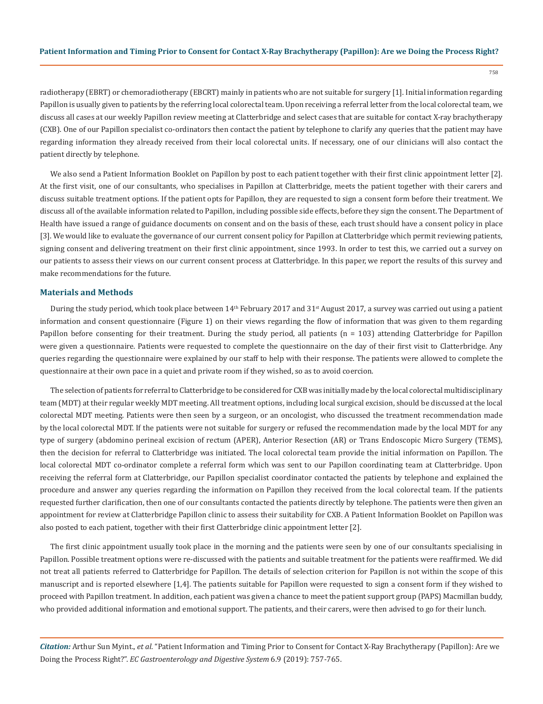758

radiotherapy (EBRT) or chemoradiotherapy (EBCRT) mainly in patients who are not suitable for surgery [1]. Initial information regarding Papillon is usually given to patients by the referring local colorectal team. Upon receiving a referral letter from the local colorectal team, we discuss all cases at our weekly Papillon review meeting at Clatterbridge and select cases that are suitable for contact X-ray brachytherapy (CXB). One of our Papillon specialist co-ordinators then contact the patient by telephone to clarify any queries that the patient may have regarding information they already received from their local colorectal units. If necessary, one of our clinicians will also contact the patient directly by telephone.

We also send a Patient Information Booklet on Papillon by post to each patient together with their first clinic appointment letter [2]. At the first visit, one of our consultants, who specialises in Papillon at Clatterbridge, meets the patient together with their carers and discuss suitable treatment options. If the patient opts for Papillon, they are requested to sign a consent form before their treatment. We discuss all of the available information related to Papillon, including possible side effects, before they sign the consent. The Department of Health have issued a range of guidance documents on consent and on the basis of these, each trust should have a consent policy in place [3]. We would like to evaluate the governance of our current consent policy for Papillon at Clatterbridge which permit reviewing patients, signing consent and delivering treatment on their first clinic appointment, since 1993. In order to test this, we carried out a survey on our patients to assess their views on our current consent process at Clatterbridge. In this paper, we report the results of this survey and make recommendations for the future.

## **Materials and Methods**

During the study period, which took place between  $14<sup>th</sup>$  February 2017 and  $31<sup>st</sup>$  August 2017, a survey was carried out using a patient information and consent questionnaire (Figure 1) on their views regarding the flow of information that was given to them regarding Papillon before consenting for their treatment. During the study period, all patients (n = 103) attending Clatterbridge for Papillon were given a questionnaire. Patients were requested to complete the questionnaire on the day of their first visit to Clatterbridge. Any queries regarding the questionnaire were explained by our staff to help with their response. The patients were allowed to complete the questionnaire at their own pace in a quiet and private room if they wished, so as to avoid coercion.

The selection of patients for referral to Clatterbridge to be considered for CXB was initially made by the local colorectal multidisciplinary team (MDT) at their regular weekly MDT meeting. All treatment options, including local surgical excision, should be discussed at the local colorectal MDT meeting. Patients were then seen by a surgeon, or an oncologist, who discussed the treatment recommendation made by the local colorectal MDT. If the patients were not suitable for surgery or refused the recommendation made by the local MDT for any type of surgery (abdomino perineal excision of rectum (APER), Anterior Resection (AR) or Trans Endoscopic Micro Surgery (TEMS), then the decision for referral to Clatterbridge was initiated. The local colorectal team provide the initial information on Papillon. The local colorectal MDT co-ordinator complete a referral form which was sent to our Papillon coordinating team at Clatterbridge. Upon receiving the referral form at Clatterbridge, our Papillon specialist coordinator contacted the patients by telephone and explained the procedure and answer any queries regarding the information on Papillon they received from the local colorectal team. If the patients requested further clarification, then one of our consultants contacted the patients directly by telephone. The patients were then given an appointment for review at Clatterbridge Papillon clinic to assess their suitability for CXB. A Patient Information Booklet on Papillon was also posted to each patient, together with their first Clatterbridge clinic appointment letter [2].

The first clinic appointment usually took place in the morning and the patients were seen by one of our consultants specialising in Papillon. Possible treatment options were re-discussed with the patients and suitable treatment for the patients were reaffirmed. We did not treat all patients referred to Clatterbridge for Papillon. The details of selection criterion for Papillon is not within the scope of this manuscript and is reported elsewhere [1,4]. The patients suitable for Papillon were requested to sign a consent form if they wished to proceed with Papillon treatment. In addition, each patient was given a chance to meet the patient support group (PAPS) Macmillan buddy, who provided additional information and emotional support. The patients, and their carers, were then advised to go for their lunch.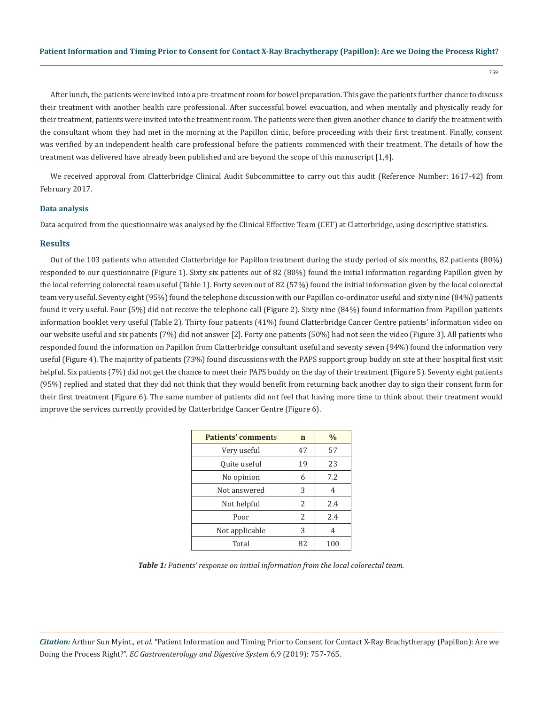759

After lunch, the patients were invited into a pre-treatment room for bowel preparation. This gave the patients further chance to discuss their treatment with another health care professional. After successful bowel evacuation, and when mentally and physically ready for their treatment, patients were invited into the treatment room. The patients were then given another chance to clarify the treatment with the consultant whom they had met in the morning at the Papillon clinic, before proceeding with their first treatment. Finally, consent was verified by an independent health care professional before the patients commenced with their treatment. The details of how the treatment was delivered have already been published and are beyond the scope of this manuscript [1,4].

We received approval from Clatterbridge Clinical Audit Subcommittee to carry out this audit (Reference Number: 1617-42) from February 2017.

#### **Data analysis**

Data acquired from the questionnaire was analysed by the Clinical Effective Team (CET) at Clatterbridge, using descriptive statistics.

#### **Results**

Out of the 103 patients who attended Clatterbridge for Papillon treatment during the study period of six months, 82 patients (80%) responded to our questionnaire (Figure 1). Sixty six patients out of 82 (80%) found the initial information regarding Papillon given by the local referring colorectal team useful (Table 1). Forty seven out of 82 (57%) found the initial information given by the local colorectal team very useful. Seventy eight (95%) found the telephone discussion with our Papillon co-ordinator useful and sixty nine (84%) patients found it very useful. Four (5%) did not receive the telephone call (Figure 2). Sixty nine (84%) found information from Papillon patients information booklet very useful (Table 2). Thirty four patients (41%) found Clatterbridge Cancer Centre patients' information video on our website useful and six patients (7%) did not answer [2]. Forty one patients (50%) had not seen the video (Figure 3). All patients who responded found the information on Papillon from Clatterbridge consultant useful and seventy seven (94%) found the information very useful (Figure 4). The majority of patients (73%) found discussions with the PAPS support group buddy on site at their hospital first visit helpful. Six patients (7%) did not get the chance to meet their PAPS buddy on the day of their treatment (Figure 5). Seventy eight patients (95%) replied and stated that they did not think that they would benefit from returning back another day to sign their consent form for their first treatment (Figure 6). The same number of patients did not feel that having more time to think about their treatment would improve the services currently provided by Clatterbridge Cancer Centre (Figure 6).

| <b>Patients' comments</b> | n             | $\frac{0}{0}$ |
|---------------------------|---------------|---------------|
| Very useful               | 47            | 57            |
| Quite useful              | 19            | 23            |
| No opinion                | 6             | 7.2           |
| Not answered              | 3             | 4             |
| Not helpful               | $\mathcal{L}$ | 2.4           |
| Poor                      | $\mathcal{L}$ | 7.4           |
| Not applicable            | 3             | 4             |
| Total                     | 82            | 100           |

*Table 1: Patients' response on initial information from the local colorectal team.*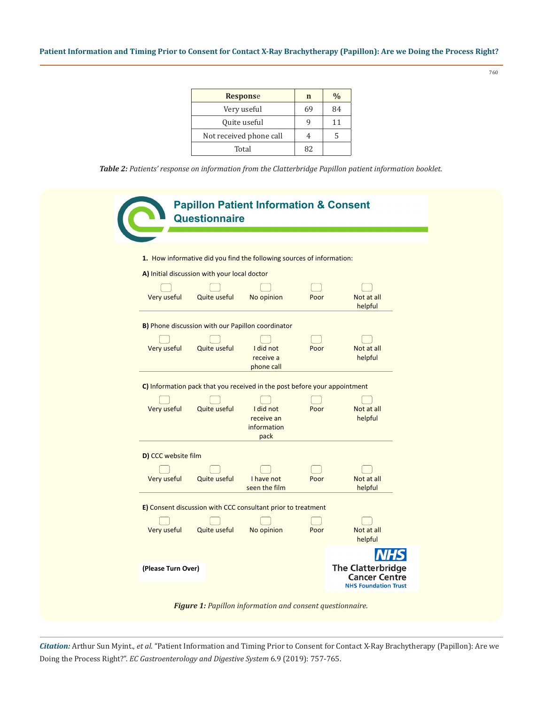| <b>Response</b>         | n  | $\frac{0}{0}$ |
|-------------------------|----|---------------|
| Very useful             | 69 | 84            |
| Quite useful            |    | 11            |
| Not received phone call |    | 5             |
| Total                   | 82 |               |

*Table 2: Patients' response on information from the Clatterbridge Papillon patient information booklet.*



*Citation:* Arthur Sun Myint., *et al*. "Patient Information and Timing Prior to Consent for Contact X-Ray Brachytherapy (Papillon): Are we Doing the Process Right?". *EC Gastroenterology and Digestive System* 6.9 (2019): 757-765.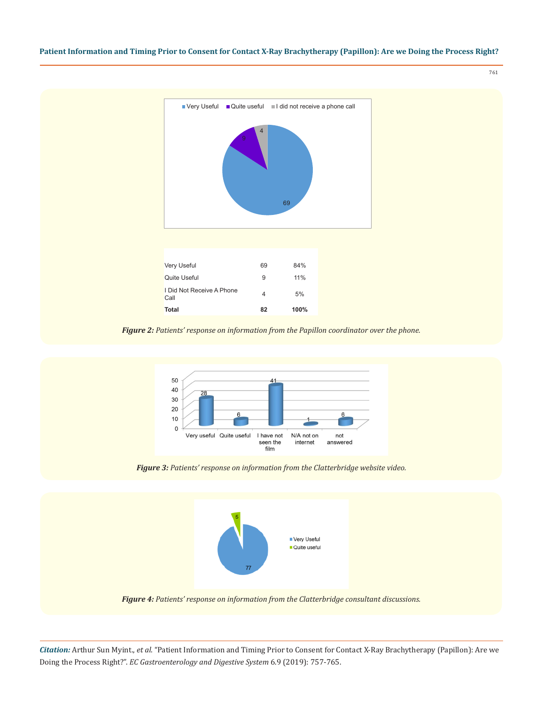761



*Figure 2: Patients' response on information from the Papillon coordinator over the phone.*



*Figure 3: Patients' response on information from the Clatterbridge website video.*



*Figure 4: Patients' response on information from the Clatterbridge consultant discussions.*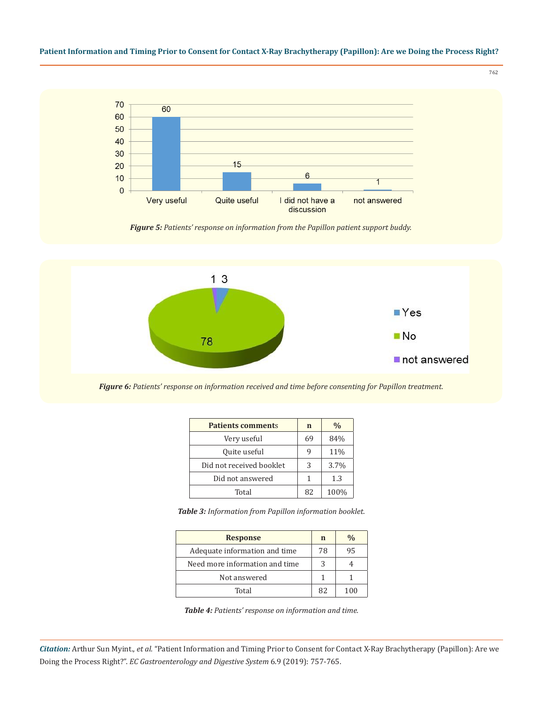

*Figure 5: Patients' response on information from the Papillon patient support buddy.*



*Figure 6: Patients' response on information received and time before consenting for Papillon treatment.*

| <b>Patients comments</b> | $\mathbf n$ | $\frac{0}{0}$ |
|--------------------------|-------------|---------------|
| Very useful              | 69          | 84%           |
| Quite useful             | q           | 11%           |
| Did not received booklet | 3           | 3.7%          |
| Did not answered         | 1           | 1.3           |
| Total                    | 82          | 100%          |

*Table 3: Information from Papillon information booklet.*

| <b>Response</b>                | n  | $\frac{0}{0}$ |
|--------------------------------|----|---------------|
| Adequate information and time  | 78 | 95            |
| Need more information and time | 3  |               |
| Not answered                   |    |               |
| Total                          | 82 | 100           |

*Table 4: Patients' response on information and time.*

*Citation:* Arthur Sun Myint., *et al*. "Patient Information and Timing Prior to Consent for Contact X-Ray Brachytherapy (Papillon): Are we Doing the Process Right?". *EC Gastroenterology and Digestive System* 6.9 (2019): 757-765.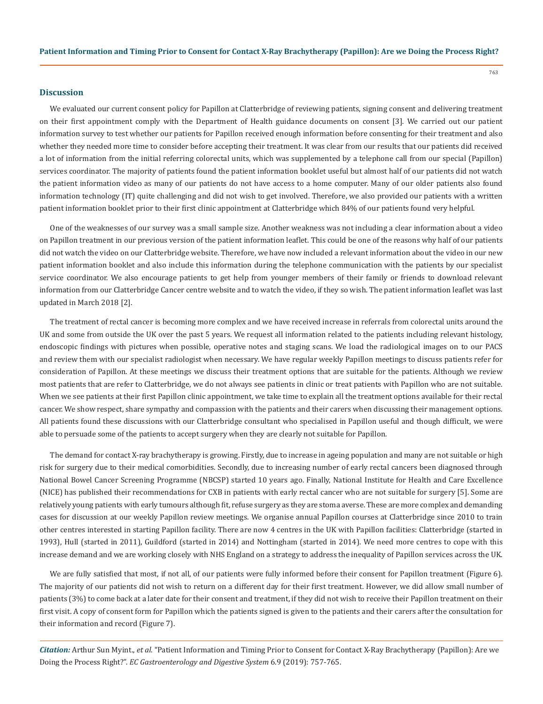#### **Discussion**

We evaluated our current consent policy for Papillon at Clatterbridge of reviewing patients, signing consent and delivering treatment on their first appointment comply with the Department of Health guidance documents on consent [3]. We carried out our patient information survey to test whether our patients for Papillon received enough information before consenting for their treatment and also whether they needed more time to consider before accepting their treatment. It was clear from our results that our patients did received a lot of information from the initial referring colorectal units, which was supplemented by a telephone call from our special (Papillon) services coordinator. The majority of patients found the patient information booklet useful but almost half of our patients did not watch the patient information video as many of our patients do not have access to a home computer. Many of our older patients also found information technology (IT) quite challenging and did not wish to get involved. Therefore, we also provided our patients with a written patient information booklet prior to their first clinic appointment at Clatterbridge which 84% of our patients found very helpful.

One of the weaknesses of our survey was a small sample size. Another weakness was not including a clear information about a video on Papillon treatment in our previous version of the patient information leaflet. This could be one of the reasons why half of our patients did not watch the video on our Clatterbridge website. Therefore, we have now included a relevant information about the video in our new patient information booklet and also include this information during the telephone communication with the patients by our specialist service coordinator. We also encourage patients to get help from younger members of their family or friends to download relevant information from our Clatterbridge Cancer centre website and to watch the video, if they so wish. The patient information leaflet was last updated in March 2018 [2].

The treatment of rectal cancer is becoming more complex and we have received increase in referrals from colorectal units around the UK and some from outside the UK over the past 5 years. We request all information related to the patients including relevant histology, endoscopic findings with pictures when possible, operative notes and staging scans. We load the radiological images on to our PACS and review them with our specialist radiologist when necessary. We have regular weekly Papillon meetings to discuss patients refer for consideration of Papillon. At these meetings we discuss their treatment options that are suitable for the patients. Although we review most patients that are refer to Clatterbridge, we do not always see patients in clinic or treat patients with Papillon who are not suitable. When we see patients at their first Papillon clinic appointment, we take time to explain all the treatment options available for their rectal cancer. We show respect, share sympathy and compassion with the patients and their carers when discussing their management options. All patients found these discussions with our Clatterbridge consultant who specialised in Papillon useful and though difficult, we were able to persuade some of the patients to accept surgery when they are clearly not suitable for Papillon.

The demand for contact X-ray brachytherapy is growing. Firstly, due to increase in ageing population and many are not suitable or high risk for surgery due to their medical comorbidities. Secondly, due to increasing number of early rectal cancers been diagnosed through National Bowel Cancer Screening Programme (NBCSP) started 10 years ago. Finally, National Institute for Health and Care Excellence (NICE) has published their recommendations for CXB in patients with early rectal cancer who are not suitable for surgery [5]. Some are relatively young patients with early tumours although fit, refuse surgery as they are stoma averse. These are more complex and demanding cases for discussion at our weekly Papillon review meetings. We organise annual Papillon courses at Clatterbridge since 2010 to train other centres interested in starting Papillon facility. There are now 4 centres in the UK with Papillon facilities: Clatterbridge (started in 1993), Hull (started in 2011), Guildford (started in 2014) and Nottingham (started in 2014). We need more centres to cope with this increase demand and we are working closely with NHS England on a strategy to address the inequality of Papillon services across the UK.

We are fully satisfied that most, if not all, of our patients were fully informed before their consent for Papillon treatment (Figure 6). The majority of our patients did not wish to return on a different day for their first treatment. However, we did allow small number of patients (3%) to come back at a later date for their consent and treatment, if they did not wish to receive their Papillon treatment on their first visit. A copy of consent form for Papillon which the patients signed is given to the patients and their carers after the consultation for their information and record (Figure 7).

*Citation:* Arthur Sun Myint., *et al*. "Patient Information and Timing Prior to Consent for Contact X-Ray Brachytherapy (Papillon): Are we Doing the Process Right?". *EC Gastroenterology and Digestive System* 6.9 (2019): 757-765.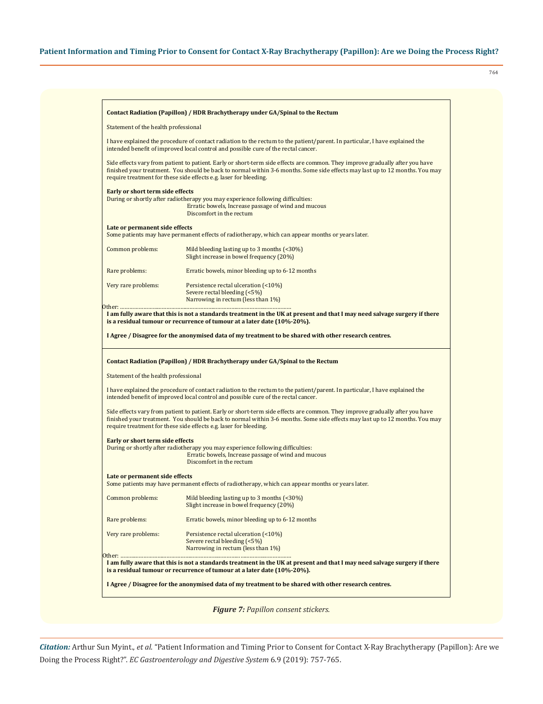764

| Contact Radiation (Papillon) / HDR Brachytherapy under GA/Spinal to the Rectum |                                                                                                                                                                                                                                                                                                                                    |
|--------------------------------------------------------------------------------|------------------------------------------------------------------------------------------------------------------------------------------------------------------------------------------------------------------------------------------------------------------------------------------------------------------------------------|
| Statement of the health professional                                           |                                                                                                                                                                                                                                                                                                                                    |
|                                                                                | I have explained the procedure of contact radiation to the rectum to the patient/parent. In particular, I have explained the<br>intended benefit of improved local control and possible cure of the rectal cancer.                                                                                                                 |
|                                                                                | Side effects vary from patient to patient. Early or short-term side effects are common. They improve gradually after you have<br>finished your treatment. You should be back to normal within 3-6 months. Some side effects may last up to 12 months. You may<br>require treatment for these side effects e.g. laser for bleeding. |
| Early or short term side effects                                               | During or shortly after radiotherapy you may experience following difficulties:<br>Erratic bowels, Increase passage of wind and mucous<br>Discomfort in the rectum                                                                                                                                                                 |
| Late or permanent side effects                                                 | Some patients may have permanent effects of radiotherapy, which can appear months or years later.                                                                                                                                                                                                                                  |
| Common problems:                                                               | Mild bleeding lasting up to 3 months (<30%)<br>Slight increase in bowel frequency (20%)                                                                                                                                                                                                                                            |
| Rare problems:                                                                 | Erratic bowels, minor bleeding up to 6-12 months                                                                                                                                                                                                                                                                                   |
| Very rare problems:                                                            | Persistence rectal ulceration (<10%)<br>Severe rectal bleeding (<5%)<br>Narrowing in rectum (less than 1%)                                                                                                                                                                                                                         |
|                                                                                | I am fully aware that this is not a standards treatment in the UK at present and that I may need salvage surgery if there<br>is a residual tumour or recurrence of tumour at a later date (10%-20%).<br>I Agree / Disagree for the anonymised data of my treatment to be shared with other research centres.                       |
|                                                                                | Contact Radiation (Papillon) / HDR Brachytherapy under GA/Spinal to the Rectum                                                                                                                                                                                                                                                     |
| Statement of the health professional                                           | I have explained the procedure of contact radiation to the rectum to the patient/parent. In particular, I have explained the<br>intended benefit of improved local control and possible cure of the rectal cancer.                                                                                                                 |
|                                                                                | Side effects vary from patient to patient. Early or short-term side effects are common. They improve gradually after you have<br>finished your treatment. You should be back to normal within 3-6 months. Some side effects may last up to 12 months. You may<br>require treatment for these side effects e.g. laser for bleeding. |
| Early or short term side effects                                               |                                                                                                                                                                                                                                                                                                                                    |
|                                                                                | During or shortly after radiotherapy you may experience following difficulties:<br>Erratic bowels, Increase passage of wind and mucous<br>Discomfort in the rectum                                                                                                                                                                 |
| Late or permanent side effects                                                 | Some patients may have permanent effects of radiotherapy, which can appear months or years later.                                                                                                                                                                                                                                  |
| Common problems:                                                               | Mild bleeding lasting up to 3 months $($ <30%)<br>Slight increase in bowel frequency (20%)                                                                                                                                                                                                                                         |
|                                                                                | Erratic bowels, minor bleeding up to 6-12 months                                                                                                                                                                                                                                                                                   |
| Rare problems:<br>Very rare problems:                                          | Persistence rectal ulceration (<10%)<br>Severe rectal bleeding (<5%)                                                                                                                                                                                                                                                               |
|                                                                                | Narrowing in rectum (less than 1%)                                                                                                                                                                                                                                                                                                 |
|                                                                                | I am fully aware that this is not a standards treatment in the UK at present and that I may need salvage surgery if there<br>is a residual tumour or recurrence of tumour at a later date (10%-20%).                                                                                                                               |